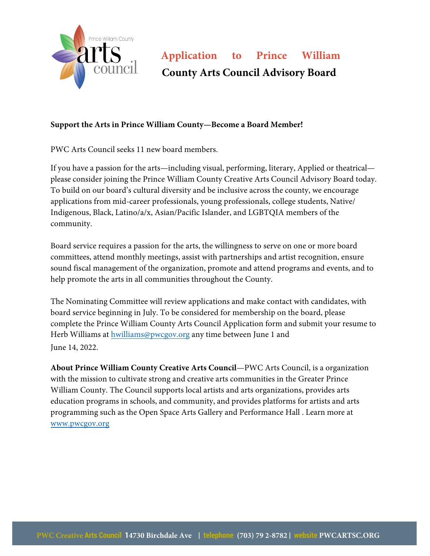

## **Application to Prince William County Arts Council Advisory Board**

## **Support the Arts in Prince William County—Become a Board Member!**

PWC Arts Council seeks 11 new board members.

If you have a passion for the arts—including visual, performing, literary, Applied or theatrical please consider joining the Prince William County Creative Arts Council Advisory Board today. To build on our board's cultural diversity and be inclusive across the county, we encourage applications from mid-career professionals, young professionals, college students, Native/ Indigenous, Black, Latino/a/x, Asian/Pacific Islander, and LGBTQIA members of the community.

Board service requires a passion for the arts, the willingness to serve on one or more board committees, attend monthly meetings, assist with partnerships and artist recognition, ensure sound fiscal management of the organization, promote and attend programs and events, and to help promote the arts in all communities throughout the County.

The Nominating Committee will review applications and make contact with candidates, with board service beginning in July. To be considered for membership on the board, please complete the Prince William County Arts Council Application form and submit your resume to Herb Williams at hwilliams@pwcgov.org any time between June 1 and June 14, 2022.

**About Prince William County Creative Arts Council**—PWC Arts Council, is a organization with the mission to cultivate strong and creative arts communities in the Greater Prince William County. The Council supports local artists and arts organizations, provides arts education programs in schools, and community, and provides platforms for artists and arts programming such as the Open Space Arts Gallery and Performance Hall . Learn more at www.pwcgov.org